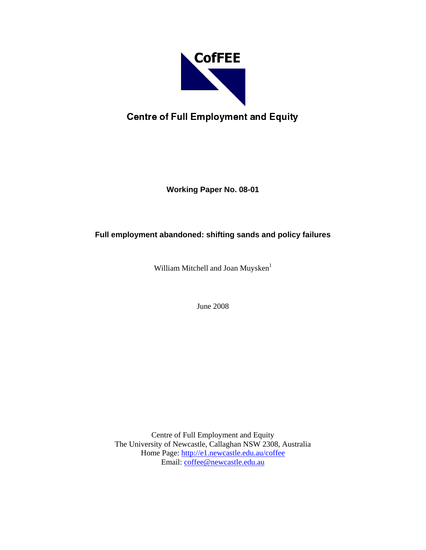

# **Centre of Full Employment and Equity**

**Working Paper No. 08-01** 

## **Full employment abandoned: shifting sands and policy failures**

William Mitchell and Joan Muysken<sup>1</sup>

June 2008

Centre of Full Employment and Equity The University of Newcastle, Callaghan NSW 2308, Australia Home Page: http://e1.newcastle.edu.au/coffee Email: coffee@newcastle.edu.au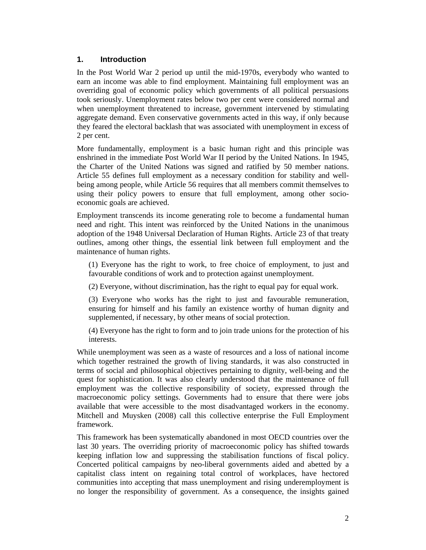#### **1. Introduction**

In the Post World War 2 period up until the mid-1970s, everybody who wanted to earn an income was able to find employment. Maintaining full employment was an overriding goal of economic policy which governments of all political persuasions took seriously. Unemployment rates below two per cent were considered normal and when unemployment threatened to increase, government intervened by stimulating aggregate demand. Even conservative governments acted in this way, if only because they feared the electoral backlash that was associated with unemployment in excess of 2 per cent.

More fundamentally, employment is a basic human right and this principle was enshrined in the immediate Post World War II period by the United Nations. In 1945, the Charter of the United Nations was signed and ratified by 50 member nations. Article 55 defines full employment as a necessary condition for stability and wellbeing among people, while Article 56 requires that all members commit themselves to using their policy powers to ensure that full employment, among other socioeconomic goals are achieved.

Employment transcends its income generating role to become a fundamental human need and right. This intent was reinforced by the United Nations in the unanimous adoption of the 1948 Universal Declaration of Human Rights. Article 23 of that treaty outlines, among other things, the essential link between full employment and the maintenance of human rights.

(1) Everyone has the right to work, to free choice of employment, to just and favourable conditions of work and to protection against unemployment.

(2) Everyone, without discrimination, has the right to equal pay for equal work.

(3) Everyone who works has the right to just and favourable remuneration, ensuring for himself and his family an existence worthy of human dignity and supplemented, if necessary, by other means of social protection.

(4) Everyone has the right to form and to join trade unions for the protection of his interests.

While unemployment was seen as a waste of resources and a loss of national income which together restrained the growth of living standards, it was also constructed in terms of social and philosophical objectives pertaining to dignity, well-being and the quest for sophistication. It was also clearly understood that the maintenance of full employment was the collective responsibility of society, expressed through the macroeconomic policy settings. Governments had to ensure that there were jobs available that were accessible to the most disadvantaged workers in the economy. Mitchell and Muysken (2008) call this collective enterprise the Full Employment framework.

This framework has been systematically abandoned in most OECD countries over the last 30 years. The overriding priority of macroeconomic policy has shifted towards keeping inflation low and suppressing the stabilisation functions of fiscal policy. Concerted political campaigns by neo-liberal governments aided and abetted by a capitalist class intent on regaining total control of workplaces, have hectored communities into accepting that mass unemployment and rising underemployment is no longer the responsibility of government. As a consequence, the insights gained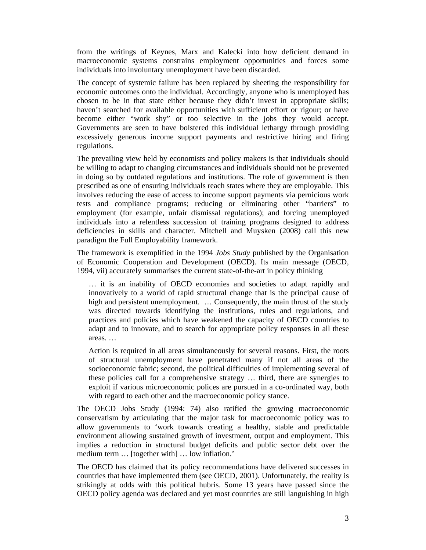from the writings of Keynes, Marx and Kalecki into how deficient demand in macroeconomic systems constrains employment opportunities and forces some individuals into involuntary unemployment have been discarded.

The concept of systemic failure has been replaced by sheeting the responsibility for economic outcomes onto the individual. Accordingly, anyone who is unemployed has chosen to be in that state either because they didn't invest in appropriate skills; haven't searched for available opportunities with sufficient effort or rigour; or have become either "work shy" or too selective in the jobs they would accept. Governments are seen to have bolstered this individual lethargy through providing excessively generous income support payments and restrictive hiring and firing regulations.

The prevailing view held by economists and policy makers is that individuals should be willing to adapt to changing circumstances and individuals should not be prevented in doing so by outdated regulations and institutions. The role of government is then prescribed as one of ensuring individuals reach states where they are employable. This involves reducing the ease of access to income support payments via pernicious work tests and compliance programs; reducing or eliminating other "barriers" to employment (for example, unfair dismissal regulations); and forcing unemployed individuals into a relentless succession of training programs designed to address deficiencies in skills and character. Mitchell and Muysken (2008) call this new paradigm the Full Employability framework.

The framework is exemplified in the 1994 *Jobs Study* published by the Organisation of Economic Cooperation and Development (OECD). Its main message (OECD, 1994, vii) accurately summarises the current state-of-the-art in policy thinking

… it is an inability of OECD economies and societies to adapt rapidly and innovatively to a world of rapid structural change that is the principal cause of high and persistent unemployment. ... Consequently, the main thrust of the study was directed towards identifying the institutions, rules and regulations, and practices and policies which have weakened the capacity of OECD countries to adapt and to innovate, and to search for appropriate policy responses in all these areas. …

Action is required in all areas simultaneously for several reasons. First, the roots of structural unemployment have penetrated many if not all areas of the socioeconomic fabric; second, the political difficulties of implementing several of these policies call for a comprehensive strategy … third, there are synergies to exploit if various microeconomic polices are pursued in a co-ordinated way, both with regard to each other and the macroeconomic policy stance.

The OECD Jobs Study (1994: 74) also ratified the growing macroeconomic conservatism by articulating that the major task for macroeconomic policy was to allow governments to 'work towards creating a healthy, stable and predictable environment allowing sustained growth of investment, output and employment. This implies a reduction in structural budget deficits and public sector debt over the medium term … [together with] … low inflation.'

The OECD has claimed that its policy recommendations have delivered successes in countries that have implemented them (see OECD, 2001). Unfortunately, the reality is strikingly at odds with this political hubris. Some 13 years have passed since the OECD policy agenda was declared and yet most countries are still languishing in high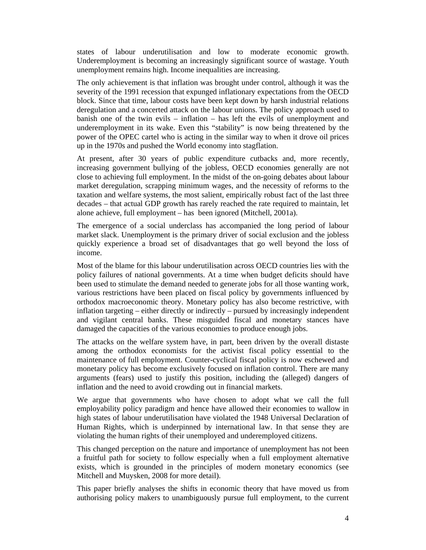states of labour underutilisation and low to moderate economic growth. Underemployment is becoming an increasingly significant source of wastage. Youth unemployment remains high. Income inequalities are increasing.

The only achievement is that inflation was brought under control, although it was the severity of the 1991 recession that expunged inflationary expectations from the OECD block. Since that time, labour costs have been kept down by harsh industrial relations deregulation and a concerted attack on the labour unions. The policy approach used to banish one of the twin evils – inflation – has left the evils of unemployment and underemployment in its wake. Even this "stability" is now being threatened by the power of the OPEC cartel who is acting in the similar way to when it drove oil prices up in the 1970s and pushed the World economy into stagflation.

At present, after 30 years of public expenditure cutbacks and, more recently, increasing government bullying of the jobless, OECD economies generally are not close to achieving full employment. In the midst of the on-going debates about labour market deregulation, scrapping minimum wages, and the necessity of reforms to the taxation and welfare systems, the most salient, empirically robust fact of the last three decades – that actual GDP growth has rarely reached the rate required to maintain, let alone achieve, full employment – has been ignored (Mitchell, 2001a).

The emergence of a social underclass has accompanied the long period of labour market slack. Unemployment is the primary driver of social exclusion and the jobless quickly experience a broad set of disadvantages that go well beyond the loss of income.

Most of the blame for this labour underutilisation across OECD countries lies with the policy failures of national governments. At a time when budget deficits should have been used to stimulate the demand needed to generate jobs for all those wanting work, various restrictions have been placed on fiscal policy by governments influenced by orthodox macroeconomic theory. Monetary policy has also become restrictive, with inflation targeting – either directly or indirectly – pursued by increasingly independent and vigilant central banks. These misguided fiscal and monetary stances have damaged the capacities of the various economies to produce enough jobs.

The attacks on the welfare system have, in part, been driven by the overall distaste among the orthodox economists for the activist fiscal policy essential to the maintenance of full employment. Counter-cyclical fiscal policy is now eschewed and monetary policy has become exclusively focused on inflation control. There are many arguments (fears) used to justify this position, including the (alleged) dangers of inflation and the need to avoid crowding out in financial markets.

We argue that governments who have chosen to adopt what we call the full employability policy paradigm and hence have allowed their economies to wallow in high states of labour underutilisation have violated the 1948 Universal Declaration of Human Rights, which is underpinned by international law. In that sense they are violating the human rights of their unemployed and underemployed citizens.

This changed perception on the nature and importance of unemployment has not been a fruitful path for society to follow especially when a full employment alternative exists, which is grounded in the principles of modern monetary economics (see Mitchell and Muysken, 2008 for more detail).

This paper briefly analyses the shifts in economic theory that have moved us from authorising policy makers to unambiguously pursue full employment, to the current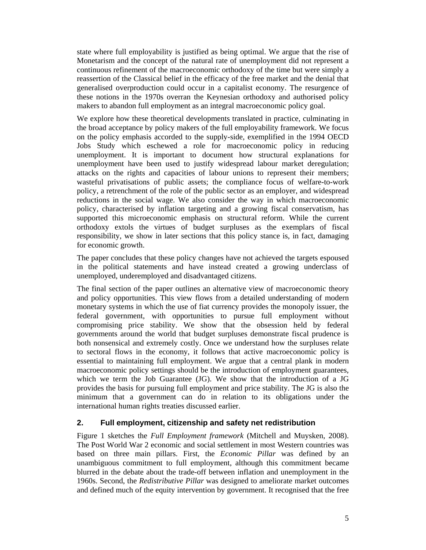state where full employability is justified as being optimal. We argue that the rise of Monetarism and the concept of the natural rate of unemployment did not represent a continuous refinement of the macroeconomic orthodoxy of the time but were simply a reassertion of the Classical belief in the efficacy of the free market and the denial that generalised overproduction could occur in a capitalist economy. The resurgence of these notions in the 1970s overran the Keynesian orthodoxy and authorised policy makers to abandon full employment as an integral macroeconomic policy goal.

We explore how these theoretical developments translated in practice, culminating in the broad acceptance by policy makers of the full employability framework. We focus on the policy emphasis accorded to the supply-side, exemplified in the 1994 OECD Jobs Study which eschewed a role for macroeconomic policy in reducing unemployment. It is important to document how structural explanations for unemployment have been used to justify widespread labour market deregulation; attacks on the rights and capacities of labour unions to represent their members; wasteful privatisations of public assets; the compliance focus of welfare-to-work policy, a retrenchment of the role of the public sector as an employer, and widespread reductions in the social wage. We also consider the way in which macroeconomic policy, characterised by inflation targeting and a growing fiscal conservatism, has supported this microeconomic emphasis on structural reform. While the current orthodoxy extols the virtues of budget surpluses as the exemplars of fiscal responsibility, we show in later sections that this policy stance is, in fact, damaging for economic growth.

The paper concludes that these policy changes have not achieved the targets espoused in the political statements and have instead created a growing underclass of unemployed, underemployed and disadvantaged citizens.

The final section of the paper outlines an alternative view of macroeconomic theory and policy opportunities. This view flows from a detailed understanding of modern monetary systems in which the use of fiat currency provides the monopoly issuer, the federal government, with opportunities to pursue full employment without compromising price stability. We show that the obsession held by federal governments around the world that budget surpluses demonstrate fiscal prudence is both nonsensical and extremely costly. Once we understand how the surpluses relate to sectoral flows in the economy, it follows that active macroeconomic policy is essential to maintaining full employment. We argue that a central plank in modern macroeconomic policy settings should be the introduction of employment guarantees, which we term the Job Guarantee (JG). We show that the introduction of a JG provides the basis for pursuing full employment and price stability. The JG is also the minimum that a government can do in relation to its obligations under the international human rights treaties discussed earlier.

#### **2. Full employment, citizenship and safety net redistribution**

Figure 1 sketches the *Full Employment framework* (Mitchell and Muysken, 2008). The Post World War 2 economic and social settlement in most Western countries was based on three main pillars. First, the *Economic Pillar* was defined by an unambiguous commitment to full employment, although this commitment became blurred in the debate about the trade-off between inflation and unemployment in the 1960s. Second, the *Redistributive Pillar* was designed to ameliorate market outcomes and defined much of the equity intervention by government. It recognised that the free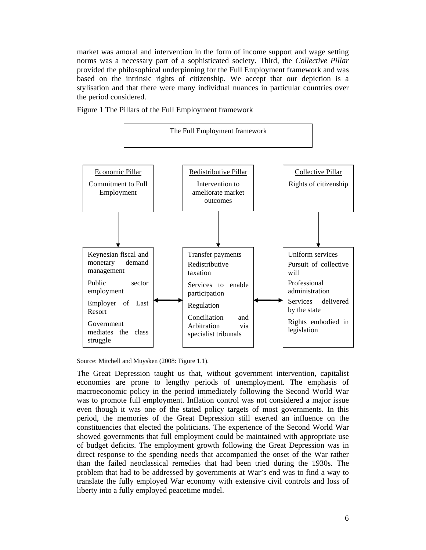market was amoral and intervention in the form of income support and wage setting norms was a necessary part of a sophisticated society. Third, the *Collective Pillar* provided the philosophical underpinning for the Full Employment framework and was based on the intrinsic rights of citizenship. We accept that our depiction is a stylisation and that there were many individual nuances in particular countries over the period considered.



Figure 1 The Pillars of the Full Employment framework

Source: Mitchell and Muysken (2008: Figure 1.1).

The Great Depression taught us that, without government intervention, capitalist economies are prone to lengthy periods of unemployment. The emphasis of macroeconomic policy in the period immediately following the Second World War was to promote full employment. Inflation control was not considered a major issue even though it was one of the stated policy targets of most governments. In this period, the memories of the Great Depression still exerted an influence on the constituencies that elected the politicians. The experience of the Second World War showed governments that full employment could be maintained with appropriate use of budget deficits. The employment growth following the Great Depression was in direct response to the spending needs that accompanied the onset of the War rather than the failed neoclassical remedies that had been tried during the 1930s. The problem that had to be addressed by governments at War's end was to find a way to translate the fully employed War economy with extensive civil controls and loss of liberty into a fully employed peacetime model.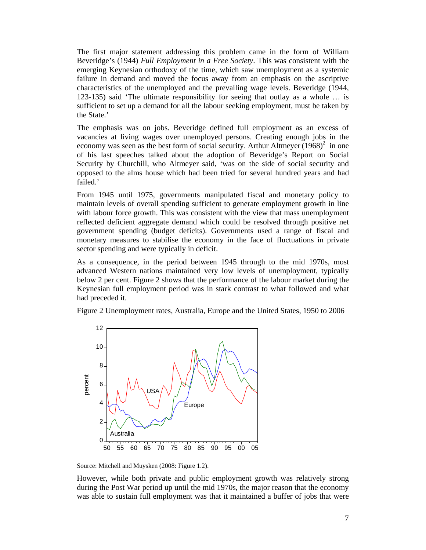The first major statement addressing this problem came in the form of William Beveridge's (1944) *Full Employment in a Free Society*. This was consistent with the emerging Keynesian orthodoxy of the time, which saw unemployment as a systemic failure in demand and moved the focus away from an emphasis on the ascriptive characteristics of the unemployed and the prevailing wage levels. Beveridge (1944, 123-135) said 'The ultimate responsibility for seeing that outlay as a whole … is sufficient to set up a demand for all the labour seeking employment, must be taken by the State.'

The emphasis was on jobs. Beveridge defined full employment as an excess of vacancies at living wages over unemployed persons. Creating enough jobs in the economy was seen as the best form of social security. Arthur Altmeyer  $(1968)^2$  in one of his last speeches talked about the adoption of Beveridge's Report on Social Security by Churchill, who Altmeyer said, 'was on the side of social security and opposed to the alms house which had been tried for several hundred years and had failed.'

From 1945 until 1975, governments manipulated fiscal and monetary policy to maintain levels of overall spending sufficient to generate employment growth in line with labour force growth. This was consistent with the view that mass unemployment reflected deficient aggregate demand which could be resolved through positive net government spending (budget deficits). Governments used a range of fiscal and monetary measures to stabilise the economy in the face of fluctuations in private sector spending and were typically in deficit.

As a consequence, in the period between 1945 through to the mid 1970s, most advanced Western nations maintained very low levels of unemployment, typically below 2 per cent. Figure 2 shows that the performance of the labour market during the Keynesian full employment period was in stark contrast to what followed and what had preceded it.

Figure 2 Unemployment rates, Australia, Europe and the United States, 1950 to 2006



Source: Mitchell and Muysken (2008: Figure 1.2).

However, while both private and public employment growth was relatively strong during the Post War period up until the mid 1970s, the major reason that the economy was able to sustain full employment was that it maintained a buffer of jobs that were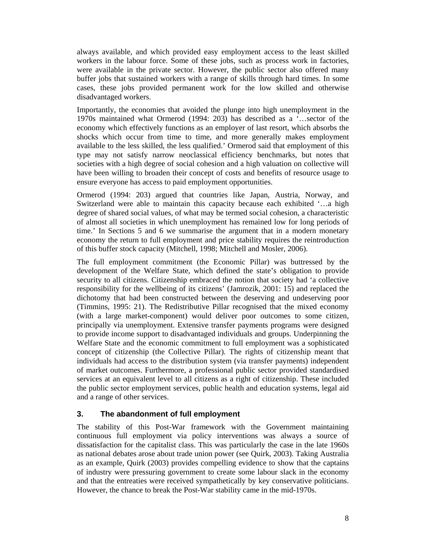always available, and which provided easy employment access to the least skilled workers in the labour force. Some of these jobs, such as process work in factories, were available in the private sector. However, the public sector also offered many buffer jobs that sustained workers with a range of skills through hard times. In some cases, these jobs provided permanent work for the low skilled and otherwise disadvantaged workers.

Importantly, the economies that avoided the plunge into high unemployment in the 1970s maintained what Ormerod (1994: 203) has described as a '…sector of the economy which effectively functions as an employer of last resort, which absorbs the shocks which occur from time to time, and more generally makes employment available to the less skilled, the less qualified.' Ormerod said that employment of this type may not satisfy narrow neoclassical efficiency benchmarks, but notes that societies with a high degree of social cohesion and a high valuation on collective will have been willing to broaden their concept of costs and benefits of resource usage to ensure everyone has access to paid employment opportunities.

Ormerod (1994: 203) argued that countries like Japan, Austria, Norway, and Switzerland were able to maintain this capacity because each exhibited '…a high degree of shared social values, of what may be termed social cohesion, a characteristic of almost all societies in which unemployment has remained low for long periods of time.' In Sections 5 and 6 we summarise the argument that in a modern monetary economy the return to full employment and price stability requires the reintroduction of this buffer stock capacity (Mitchell, 1998; Mitchell and Mosler, 2006).

The full employment commitment (the Economic Pillar) was buttressed by the development of the Welfare State, which defined the state's obligation to provide security to all citizens. Citizenship embraced the notion that society had 'a collective responsibility for the wellbeing of its citizens' (Jamrozik, 2001: 15) and replaced the dichotomy that had been constructed between the deserving and undeserving poor (Timmins, 1995: 21). The Redistributive Pillar recognised that the mixed economy (with a large market-component) would deliver poor outcomes to some citizen, principally via unemployment. Extensive transfer payments programs were designed to provide income support to disadvantaged individuals and groups. Underpinning the Welfare State and the economic commitment to full employment was a sophisticated concept of citizenship (the Collective Pillar). The rights of citizenship meant that individuals had access to the distribution system (via transfer payments) independent of market outcomes. Furthermore, a professional public sector provided standardised services at an equivalent level to all citizens as a right of citizenship. These included the public sector employment services, public health and education systems, legal aid and a range of other services.

#### **3. The abandonment of full employment**

The stability of this Post-War framework with the Government maintaining continuous full employment via policy interventions was always a source of dissatisfaction for the capitalist class. This was particularly the case in the late 1960s as national debates arose about trade union power (see Quirk, 2003). Taking Australia as an example, Quirk (2003) provides compelling evidence to show that the captains of industry were pressuring government to create some labour slack in the economy and that the entreaties were received sympathetically by key conservative politicians. However, the chance to break the Post-War stability came in the mid-1970s.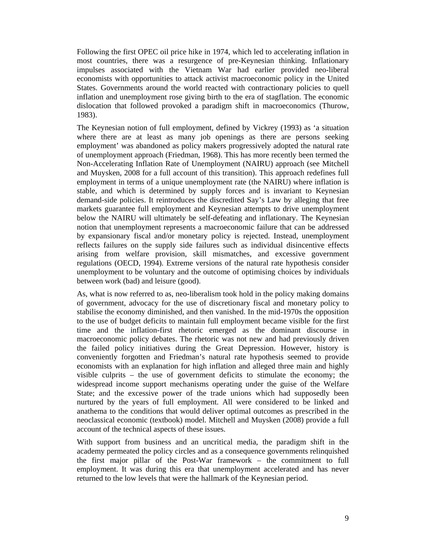Following the first OPEC oil price hike in 1974, which led to accelerating inflation in most countries, there was a resurgence of pre-Keynesian thinking. Inflationary impulses associated with the Vietnam War had earlier provided neo-liberal economists with opportunities to attack activist macroeconomic policy in the United States. Governments around the world reacted with contractionary policies to quell inflation and unemployment rose giving birth to the era of stagflation. The economic dislocation that followed provoked a paradigm shift in macroeconomics (Thurow, 1983).

The Keynesian notion of full employment, defined by Vickrey (1993) as 'a situation where there are at least as many job openings as there are persons seeking employment' was abandoned as policy makers progressively adopted the natural rate of unemployment approach (Friedman, 1968). This has more recently been termed the Non-Accelerating Inflation Rate of Unemployment (NAIRU) approach (see Mitchell and Muysken, 2008 for a full account of this transition). This approach redefines full employment in terms of a unique unemployment rate (the NAIRU) where inflation is stable, and which is determined by supply forces and is invariant to Keynesian demand-side policies. It reintroduces the discredited Say's Law by alleging that free markets guarantee full employment and Keynesian attempts to drive unemployment below the NAIRU will ultimately be self-defeating and inflationary. The Keynesian notion that unemployment represents a macroeconomic failure that can be addressed by expansionary fiscal and/or monetary policy is rejected. Instead, unemployment reflects failures on the supply side failures such as individual disincentive effects arising from welfare provision, skill mismatches, and excessive government regulations (OECD, 1994). Extreme versions of the natural rate hypothesis consider unemployment to be voluntary and the outcome of optimising choices by individuals between work (bad) and leisure (good).

As, what is now referred to as, neo-liberalism took hold in the policy making domains of government, advocacy for the use of discretionary fiscal and monetary policy to stabilise the economy diminished, and then vanished. In the mid-1970s the opposition to the use of budget deficits to maintain full employment became visible for the first time and the inflation-first rhetoric emerged as the dominant discourse in macroeconomic policy debates. The rhetoric was not new and had previously driven the failed policy initiatives during the Great Depression. However, history is conveniently forgotten and Friedman's natural rate hypothesis seemed to provide economists with an explanation for high inflation and alleged three main and highly visible culprits – the use of government deficits to stimulate the economy; the widespread income support mechanisms operating under the guise of the Welfare State; and the excessive power of the trade unions which had supposedly been nurtured by the years of full employment. All were considered to be linked and anathema to the conditions that would deliver optimal outcomes as prescribed in the neoclassical economic (textbook) model. Mitchell and Muysken (2008) provide a full account of the technical aspects of these issues.

With support from business and an uncritical media, the paradigm shift in the academy permeated the policy circles and as a consequence governments relinquished the first major pillar of the Post-War framework – the commitment to full employment. It was during this era that unemployment accelerated and has never returned to the low levels that were the hallmark of the Keynesian period.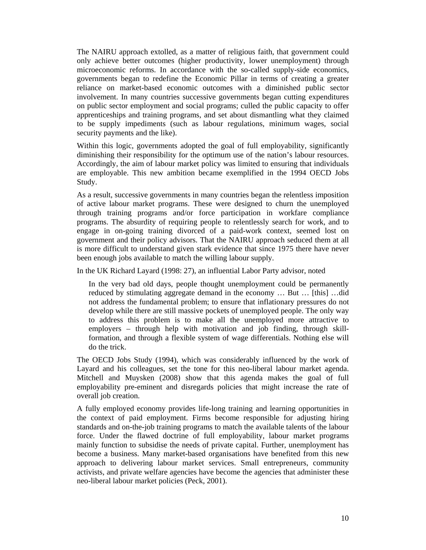The NAIRU approach extolled, as a matter of religious faith, that government could only achieve better outcomes (higher productivity, lower unemployment) through microeconomic reforms. In accordance with the so-called supply-side economics, governments began to redefine the Economic Pillar in terms of creating a greater reliance on market-based economic outcomes with a diminished public sector involvement. In many countries successive governments began cutting expenditures on public sector employment and social programs; culled the public capacity to offer apprenticeships and training programs, and set about dismantling what they claimed to be supply impediments (such as labour regulations, minimum wages, social security payments and the like).

Within this logic, governments adopted the goal of full employability, significantly diminishing their responsibility for the optimum use of the nation's labour resources. Accordingly, the aim of labour market policy was limited to ensuring that individuals are employable. This new ambition became exemplified in the 1994 OECD Jobs Study.

As a result, successive governments in many countries began the relentless imposition of active labour market programs. These were designed to churn the unemployed through training programs and/or force participation in workfare compliance programs. The absurdity of requiring people to relentlessly search for work, and to engage in on-going training divorced of a paid-work context, seemed lost on government and their policy advisors. That the NAIRU approach seduced them at all is more difficult to understand given stark evidence that since 1975 there have never been enough jobs available to match the willing labour supply.

In the UK Richard Layard (1998: 27), an influential Labor Party advisor, noted

In the very bad old days, people thought unemployment could be permanently reduced by stimulating aggregate demand in the economy … But … [this] …did not address the fundamental problem; to ensure that inflationary pressures do not develop while there are still massive pockets of unemployed people. The only way to address this problem is to make all the unemployed more attractive to employers – through help with motivation and job finding, through skillformation, and through a flexible system of wage differentials. Nothing else will do the trick.

The OECD Jobs Study (1994), which was considerably influenced by the work of Layard and his colleagues, set the tone for this neo-liberal labour market agenda. Mitchell and Muysken (2008) show that this agenda makes the goal of full employability pre-eminent and disregards policies that might increase the rate of overall job creation.

A fully employed economy provides life-long training and learning opportunities in the context of paid employment. Firms become responsible for adjusting hiring standards and on-the-job training programs to match the available talents of the labour force. Under the flawed doctrine of full employability, labour market programs mainly function to subsidise the needs of private capital. Further, unemployment has become a business. Many market-based organisations have benefited from this new approach to delivering labour market services. Small entrepreneurs, community activists, and private welfare agencies have become the agencies that administer these neo-liberal labour market policies (Peck, 2001).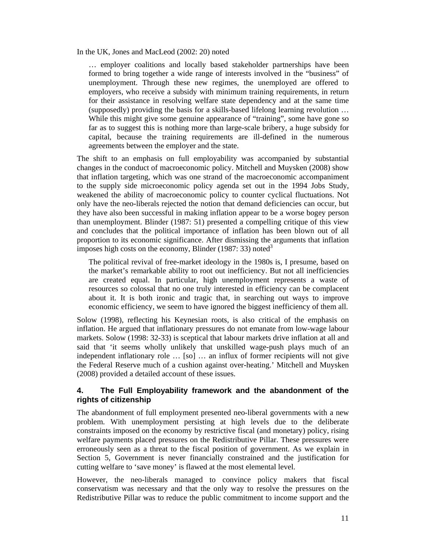In the UK, Jones and MacLeod (2002: 20) noted

… employer coalitions and locally based stakeholder partnerships have been formed to bring together a wide range of interests involved in the "business" of unemployment. Through these new regimes, the unemployed are offered to employers, who receive a subsidy with minimum training requirements, in return for their assistance in resolving welfare state dependency and at the same time (supposedly) providing the basis for a skills-based lifelong learning revolution … While this might give some genuine appearance of "training", some have gone so far as to suggest this is nothing more than large-scale bribery, a huge subsidy for capital, because the training requirements are ill-defined in the numerous agreements between the employer and the state.

The shift to an emphasis on full employability was accompanied by substantial changes in the conduct of macroeconomic policy. Mitchell and Muysken (2008) show that inflation targeting, which was one strand of the macroeconomic accompaniment to the supply side microeconomic policy agenda set out in the 1994 Jobs Study, weakened the ability of macroeconomic policy to counter cyclical fluctuations. Not only have the neo-liberals rejected the notion that demand deficiencies can occur, but they have also been successful in making inflation appear to be a worse bogey person than unemployment. Blinder (1987: 51) presented a compelling critique of this view and concludes that the political importance of inflation has been blown out of all proportion to its economic significance. After dismissing the arguments that inflation imposes high costs on the economy, Blinder (1987: 33) noted<sup>3</sup>

The political revival of free-market ideology in the 1980s is, I presume, based on the market's remarkable ability to root out inefficiency. But not all inefficiencies are created equal. In particular, high unemployment represents a waste of resources so colossal that no one truly interested in efficiency can be complacent about it. It is both ironic and tragic that, in searching out ways to improve economic efficiency, we seem to have ignored the biggest inefficiency of them all.

Solow (1998), reflecting his Keynesian roots, is also critical of the emphasis on inflation. He argued that inflationary pressures do not emanate from low-wage labour markets. Solow (1998: 32-33) is sceptical that labour markets drive inflation at all and said that 'it seems wholly unlikely that unskilled wage-push plays much of an independent inflationary role … [so] … an influx of former recipients will not give the Federal Reserve much of a cushion against over-heating.' Mitchell and Muysken (2008) provided a detailed account of these issues.

### **4. The Full Employability framework and the abandonment of the rights of citizenship**

The abandonment of full employment presented neo-liberal governments with a new problem. With unemployment persisting at high levels due to the deliberate constraints imposed on the economy by restrictive fiscal (and monetary) policy, rising welfare payments placed pressures on the Redistributive Pillar. These pressures were erroneously seen as a threat to the fiscal position of government. As we explain in Section 5, Government is never financially constrained and the justification for cutting welfare to 'save money' is flawed at the most elemental level.

However, the neo-liberals managed to convince policy makers that fiscal conservatism was necessary and that the only way to resolve the pressures on the Redistributive Pillar was to reduce the public commitment to income support and the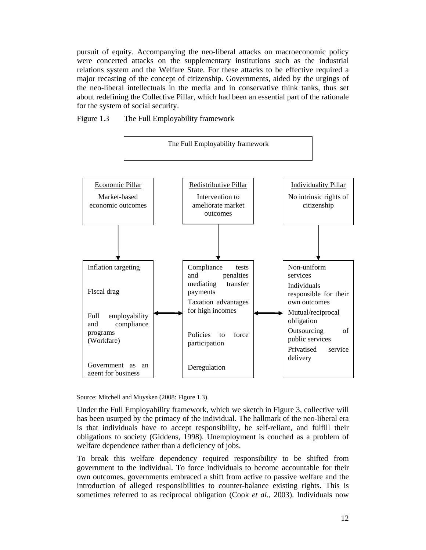pursuit of equity. Accompanying the neo-liberal attacks on macroeconomic policy were concerted attacks on the supplementary institutions such as the industrial relations system and the Welfare State. For these attacks to be effective required a major recasting of the concept of citizenship. Governments, aided by the urgings of the neo-liberal intellectuals in the media and in conservative think tanks, thus set about redefining the Collective Pillar, which had been an essential part of the rationale for the system of social security.

Figure 1.3 The Full Employability framework



Source: Mitchell and Muysken (2008: Figure 1.3).

Under the Full Employability framework, which we sketch in Figure 3, collective will has been usurped by the primacy of the individual. The hallmark of the neo-liberal era is that individuals have to accept responsibility, be self-reliant, and fulfill their obligations to society (Giddens, 1998). Unemployment is couched as a problem of welfare dependence rather than a deficiency of jobs.

To break this welfare dependency required responsibility to be shifted from government to the individual. To force individuals to become accountable for their own outcomes, governments embraced a shift from active to passive welfare and the introduction of alleged responsibilities to counter-balance existing rights. This is sometimes referred to as reciprocal obligation (Cook *et al.*, 2003). Individuals now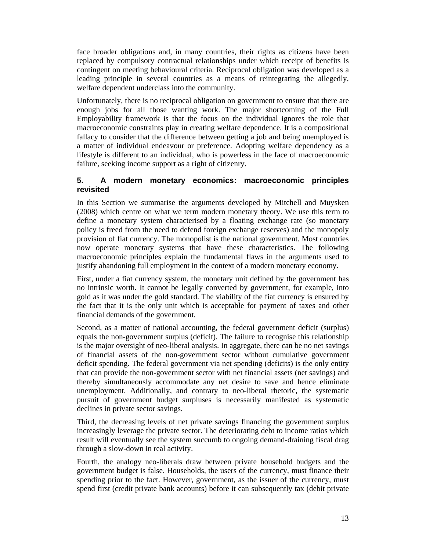face broader obligations and, in many countries, their rights as citizens have been replaced by compulsory contractual relationships under which receipt of benefits is contingent on meeting behavioural criteria. Reciprocal obligation was developed as a leading principle in several countries as a means of reintegrating the allegedly, welfare dependent underclass into the community.

Unfortunately, there is no reciprocal obligation on government to ensure that there are enough jobs for all those wanting work. The major shortcoming of the Full Employability framework is that the focus on the individual ignores the role that macroeconomic constraints play in creating welfare dependence. It is a compositional fallacy to consider that the difference between getting a job and being unemployed is a matter of individual endeavour or preference. Adopting welfare dependency as a lifestyle is different to an individual, who is powerless in the face of macroeconomic failure, seeking income support as a right of citizenry.

#### **5. A modern monetary economics: macroeconomic principles revisited**

In this Section we summarise the arguments developed by Mitchell and Muysken (2008) which centre on what we term modern monetary theory. We use this term to define a monetary system characterised by a floating exchange rate (so monetary policy is freed from the need to defend foreign exchange reserves) and the monopoly provision of fiat currency. The monopolist is the national government. Most countries now operate monetary systems that have these characteristics. The following macroeconomic principles explain the fundamental flaws in the arguments used to justify abandoning full employment in the context of a modern monetary economy.

First, under a fiat currency system, the monetary unit defined by the government has no intrinsic worth. It cannot be legally converted by government, for example, into gold as it was under the gold standard. The viability of the fiat currency is ensured by the fact that it is the only unit which is acceptable for payment of taxes and other financial demands of the government.

Second, as a matter of national accounting, the federal government deficit (surplus) equals the non-government surplus (deficit). The failure to recognise this relationship is the major oversight of neo-liberal analysis. In aggregate, there can be no net savings of financial assets of the non-government sector without cumulative government deficit spending. The federal government via net spending (deficits) is the only entity that can provide the non-government sector with net financial assets (net savings) and thereby simultaneously accommodate any net desire to save and hence eliminate unemployment. Additionally, and contrary to neo-liberal rhetoric, the systematic pursuit of government budget surpluses is necessarily manifested as systematic declines in private sector savings.

Third, the decreasing levels of net private savings financing the government surplus increasingly leverage the private sector. The deteriorating debt to income ratios which result will eventually see the system succumb to ongoing demand-draining fiscal drag through a slow-down in real activity.

Fourth, the analogy neo-liberals draw between private household budgets and the government budget is false. Households, the users of the currency, must finance their spending prior to the fact. However, government, as the issuer of the currency, must spend first (credit private bank accounts) before it can subsequently tax (debit private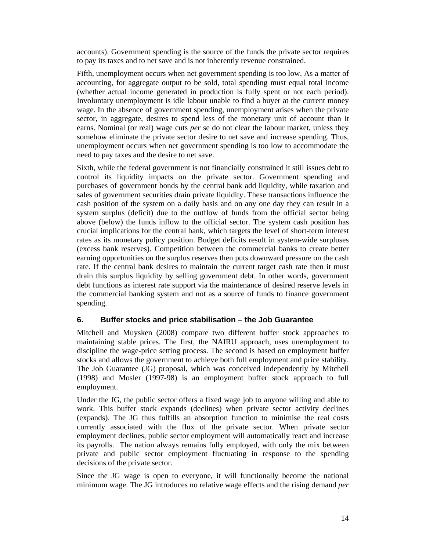accounts). Government spending is the source of the funds the private sector requires to pay its taxes and to net save and is not inherently revenue constrained.

Fifth, unemployment occurs when net government spending is too low. As a matter of accounting, for aggregate output to be sold, total spending must equal total income (whether actual income generated in production is fully spent or not each period). Involuntary unemployment is idle labour unable to find a buyer at the current money wage. In the absence of government spending, unemployment arises when the private sector, in aggregate, desires to spend less of the monetary unit of account than it earns. Nominal (or real) wage cuts *per* se do not clear the labour market, unless they somehow eliminate the private sector desire to net save and increase spending. Thus, unemployment occurs when net government spending is too low to accommodate the need to pay taxes and the desire to net save.

Sixth, while the federal government is not financially constrained it still issues debt to control its liquidity impacts on the private sector. Government spending and purchases of government bonds by the central bank add liquidity, while taxation and sales of government securities drain private liquidity. These transactions influence the cash position of the system on a daily basis and on any one day they can result in a system surplus (deficit) due to the outflow of funds from the official sector being above (below) the funds inflow to the official sector. The system cash position has crucial implications for the central bank, which targets the level of short-term interest rates as its monetary policy position. Budget deficits result in system-wide surpluses (excess bank reserves). Competition between the commercial banks to create better earning opportunities on the surplus reserves then puts downward pressure on the cash rate. If the central bank desires to maintain the current target cash rate then it must drain this surplus liquidity by selling government debt. In other words, government debt functions as interest rate support via the maintenance of desired reserve levels in the commercial banking system and not as a source of funds to finance government spending.

#### **6. Buffer stocks and price stabilisation – the Job Guarantee**

Mitchell and Muysken (2008) compare two different buffer stock approaches to maintaining stable prices. The first, the NAIRU approach, uses unemployment to discipline the wage-price setting process. The second is based on employment buffer stocks and allows the government to achieve both full employment and price stability. The Job Guarantee (JG) proposal, which was conceived independently by Mitchell (1998) and Mosler (1997-98) is an employment buffer stock approach to full employment.

Under the JG, the public sector offers a fixed wage job to anyone willing and able to work. This buffer stock expands (declines) when private sector activity declines (expands). The JG thus fulfills an absorption function to minimise the real costs currently associated with the flux of the private sector. When private sector employment declines, public sector employment will automatically react and increase its payrolls. The nation always remains fully employed, with only the mix between private and public sector employment fluctuating in response to the spending decisions of the private sector.

Since the JG wage is open to everyone, it will functionally become the national minimum wage. The JG introduces no relative wage effects and the rising demand *per*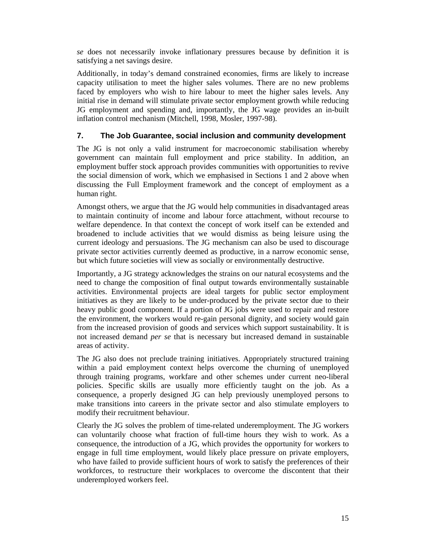*se* does not necessarily invoke inflationary pressures because by definition it is satisfying a net savings desire.

Additionally, in today's demand constrained economies, firms are likely to increase capacity utilisation to meet the higher sales volumes. There are no new problems faced by employers who wish to hire labour to meet the higher sales levels. Any initial rise in demand will stimulate private sector employment growth while reducing JG employment and spending and, importantly, the JG wage provides an in-built inflation control mechanism (Mitchell, 1998, Mosler, 1997-98).

#### **7. The Job Guarantee, social inclusion and community development**

The JG is not only a valid instrument for macroeconomic stabilisation whereby government can maintain full employment and price stability. In addition, an employment buffer stock approach provides communities with opportunities to revive the social dimension of work, which we emphasised in Sections 1 and 2 above when discussing the Full Employment framework and the concept of employment as a human right.

Amongst others, we argue that the JG would help communities in disadvantaged areas to maintain continuity of income and labour force attachment, without recourse to welfare dependence. In that context the concept of work itself can be extended and broadened to include activities that we would dismiss as being leisure using the current ideology and persuasions. The JG mechanism can also be used to discourage private sector activities currently deemed as productive, in a narrow economic sense, but which future societies will view as socially or environmentally destructive.

Importantly, a JG strategy acknowledges the strains on our natural ecosystems and the need to change the composition of final output towards environmentally sustainable activities. Environmental projects are ideal targets for public sector employment initiatives as they are likely to be under-produced by the private sector due to their heavy public good component. If a portion of JG jobs were used to repair and restore the environment, the workers would re-gain personal dignity, and society would gain from the increased provision of goods and services which support sustainability. It is not increased demand *per se* that is necessary but increased demand in sustainable areas of activity.

The JG also does not preclude training initiatives. Appropriately structured training within a paid employment context helps overcome the churning of unemployed through training programs, workfare and other schemes under current neo-liberal policies. Specific skills are usually more efficiently taught on the job. As a consequence, a properly designed JG can help previously unemployed persons to make transitions into careers in the private sector and also stimulate employers to modify their recruitment behaviour.

Clearly the JG solves the problem of time-related underemployment. The JG workers can voluntarily choose what fraction of full-time hours they wish to work. As a consequence, the introduction of a JG, which provides the opportunity for workers to engage in full time employment, would likely place pressure on private employers, who have failed to provide sufficient hours of work to satisfy the preferences of their workforces, to restructure their workplaces to overcome the discontent that their underemployed workers feel.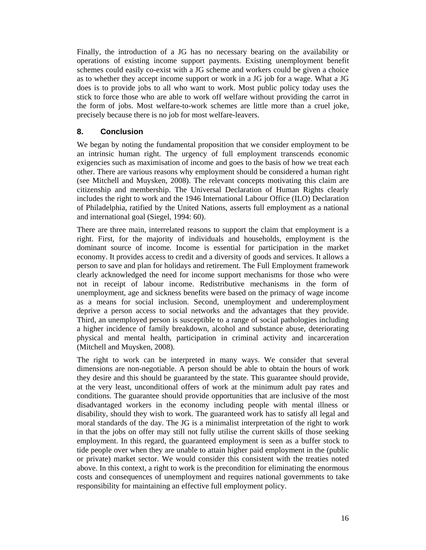Finally, the introduction of a JG has no necessary bearing on the availability or operations of existing income support payments. Existing unemployment benefit schemes could easily co-exist with a JG scheme and workers could be given a choice as to whether they accept income support or work in a JG job for a wage. What a JG does is to provide jobs to all who want to work. Most public policy today uses the stick to force those who are able to work off welfare without providing the carrot in the form of jobs. Most welfare-to-work schemes are little more than a cruel joke, precisely because there is no job for most welfare-leavers.

### **8. Conclusion**

We began by noting the fundamental proposition that we consider employment to be an intrinsic human right. The urgency of full employment transcends economic exigencies such as maximisation of income and goes to the basis of how we treat each other. There are various reasons why employment should be considered a human right (see Mitchell and Muysken, 2008). The relevant concepts motivating this claim are citizenship and membership. The Universal Declaration of Human Rights clearly includes the right to work and the 1946 International Labour Office (ILO) Declaration of Philadelphia, ratified by the United Nations, asserts full employment as a national and international goal (Siegel, 1994: 60).

There are three main, interrelated reasons to support the claim that employment is a right. First, for the majority of individuals and households, employment is the dominant source of income. Income is essential for participation in the market economy. It provides access to credit and a diversity of goods and services. It allows a person to save and plan for holidays and retirement. The Full Employment framework clearly acknowledged the need for income support mechanisms for those who were not in receipt of labour income. Redistributive mechanisms in the form of unemployment, age and sickness benefits were based on the primacy of wage income as a means for social inclusion. Second, unemployment and underemployment deprive a person access to social networks and the advantages that they provide. Third, an unemployed person is susceptible to a range of social pathologies including a higher incidence of family breakdown, alcohol and substance abuse, deteriorating physical and mental health, participation in criminal activity and incarceration (Mitchell and Muysken, 2008).

The right to work can be interpreted in many ways. We consider that several dimensions are non-negotiable. A person should be able to obtain the hours of work they desire and this should be guaranteed by the state. This guarantee should provide, at the very least, unconditional offers of work at the minimum adult pay rates and conditions. The guarantee should provide opportunities that are inclusive of the most disadvantaged workers in the economy including people with mental illness or disability, should they wish to work. The guaranteed work has to satisfy all legal and moral standards of the day. The JG is a minimalist interpretation of the right to work in that the jobs on offer may still not fully utilise the current skills of those seeking employment. In this regard, the guaranteed employment is seen as a buffer stock to tide people over when they are unable to attain higher paid employment in the (public or private) market sector. We would consider this consistent with the treaties noted above. In this context, a right to work is the precondition for eliminating the enormous costs and consequences of unemployment and requires national governments to take responsibility for maintaining an effective full employment policy.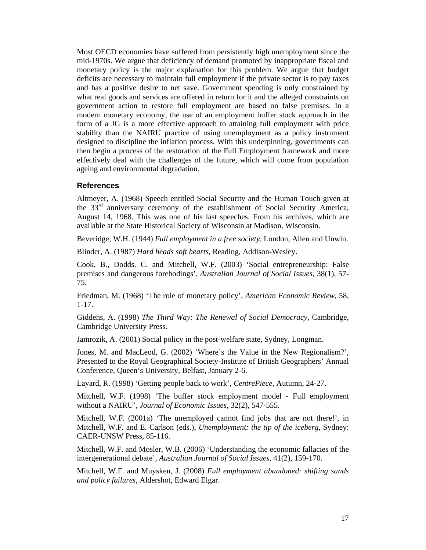Most OECD economies have suffered from persistently high unemployment since the mid-1970s. We argue that deficiency of demand promoted by inappropriate fiscal and monetary policy is the major explanation for this problem. We argue that budget deficits are necessary to maintain full employment if the private sector is to pay taxes and has a positive desire to net save. Government spending is only constrained by what real goods and services are offered in return for it and the alleged constraints on government action to restore full employment are based on false premises. In a modern monetary economy, the use of an employment buffer stock approach in the form of a JG is a more effective approach to attaining full employment with price stability than the NAIRU practice of using unemployment as a policy instrument designed to discipline the inflation process. With this underpinning, governments can then begin a process of the restoration of the Full Employment framework and more effectively deal with the challenges of the future, which will come from population ageing and environmental degradation.

#### **References**

Altmeyer, A. (1968) Speech entitled Social Security and the Human Touch given at the 33rd anniversary ceremony of the establishment of Social Security America, August 14, 1968. This was one of his last speeches. From his archives, which are available at the State Historical Society of Wisconsin at Madison, Wisconsin.

Beveridge, W.H. (1944) *Full employment in a free society*, London, Allen and Unwin.

Blinder, A. (1987) *Hard heads soft hearts*, Reading, Addison-Wesley.

Cook, B., Dodds. C. and Mitchell, W.F. (2003) 'Social entrepreneurship: False premises and dangerous forebodings', *Australian Journal of Social Issues*, 38(1), 57- 75.

Friedman, M. (1968) 'The role of monetary policy', *American Economic Review*, 58, 1-17.

Giddens, A. (1998) *The Third Way: The Renewal of Social Democracy*, Cambridge, Cambridge University Press.

Jamrozik, A. (2001) Social policy in the post-welfare state, Sydney, Longman.

Jones, M. and MacLeod, G. (2002) 'Where's the Value in the New Regionalism?', Presented to the Royal Geographical Society-Institute of British Geographers' Annual Conference, Queen's University, Belfast, January 2-6.

Layard, R. (1998) 'Getting people back to work', *CentrePiece*, Autumn, 24-27.

Mitchell, W.F. (1998) 'The buffer stock employment model - Full employment without a NAIRU', *Journal of Economic Issues*, 32(2), 547-555.

Mitchell, W.F. (2001a) 'The unemployed cannot find jobs that are not there!', in Mitchell, W.F. and E. Carlson (eds.), *Unemployment: the tip of the iceberg*, Sydney: CAER-UNSW Press, 85-116.

Mitchell, W.F. and Mosler, W.B. (2006) 'Understanding the economic fallacies of the intergenerational debate', *Australian Journal of Social Issues*, 41(2), 159-170.

Mitchell, W.F. and Muysken, J. (2008) *Full employment abandoned: shifting sands and policy failures*, Aldershot, Edward Elgar.